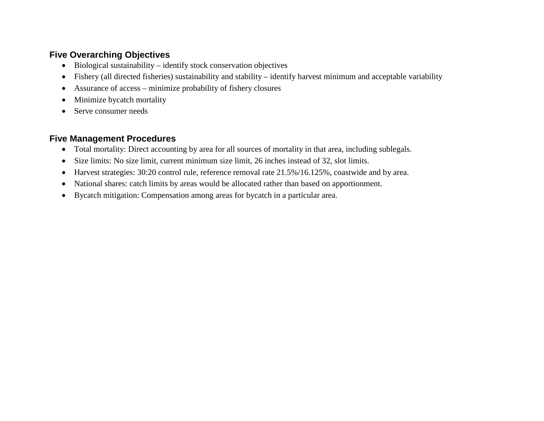## **Five Overarching Objectives**

- Biological sustainability identify stock conservation objectives
- Fishery (all directed fisheries) sustainability and stability identify harvest minimum and acceptable variability
- Assurance of access minimize probability of fishery closures
- Minimize bycatch mortality
- Serve consumer needs

## **Five Management Procedures**

- Total mortality: Direct accounting by area for all sources of mortality in that area, including sublegals.
- Size limits: No size limit, current minimum size limit, 26 inches instead of 32, slot limits.
- Harvest strategies: 30:20 control rule, reference removal rate 21.5%/16.125%, coastwide and by area.
- National shares: catch limits by areas would be allocated rather than based on apportionment.
- Bycatch mitigation: Compensation among areas for bycatch in a particular area.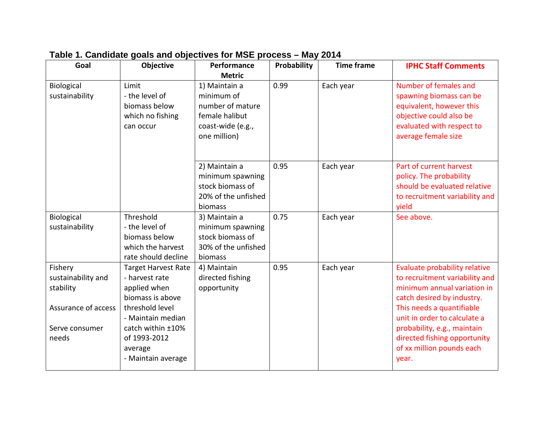| Goal                                                                                         | Objective                                                                                                                                                                                      | Performance                                                                                            | Probability | <b>Time frame</b> | <b>IPHC Staff Comments</b>                                                                                                                                                                                                                                                                     |
|----------------------------------------------------------------------------------------------|------------------------------------------------------------------------------------------------------------------------------------------------------------------------------------------------|--------------------------------------------------------------------------------------------------------|-------------|-------------------|------------------------------------------------------------------------------------------------------------------------------------------------------------------------------------------------------------------------------------------------------------------------------------------------|
|                                                                                              |                                                                                                                                                                                                | <b>Metric</b>                                                                                          |             |                   |                                                                                                                                                                                                                                                                                                |
| <b>Biological</b><br>sustainability                                                          | Limit<br>- the level of<br>biomass below<br>which no fishing<br>can occur                                                                                                                      | 1) Maintain a<br>minimum of<br>number of mature<br>female halibut<br>coast-wide (e.g.,<br>one million) | 0.99        | Each year         | Number of females and<br>spawning biomass can be<br>equivalent, however this<br>objective could also be<br>evaluated with respect to<br>average female size                                                                                                                                    |
|                                                                                              |                                                                                                                                                                                                | 2) Maintain a<br>minimum spawning<br>stock biomass of<br>20% of the unfished<br>biomass                | 0.95        | Each year         | Part of current harvest<br>policy. The probability<br>should be evaluated relative<br>to recruitment variability and<br>yield                                                                                                                                                                  |
| Biological<br>sustainability                                                                 | Threshold<br>- the level of<br>biomass below<br>which the harvest<br>rate should decline                                                                                                       | 3) Maintain a<br>minimum spawning<br>stock biomass of<br>30% of the unfished<br>biomass                | 0.75        | Each year         | See above.                                                                                                                                                                                                                                                                                     |
| Fishery<br>sustainability and<br>stability<br>Assurance of access<br>Serve consumer<br>needs | <b>Target Harvest Rate</b><br>- harvest rate<br>applied when<br>biomass is above<br>threshold level<br>- Maintain median<br>catch within ±10%<br>of 1993-2012<br>average<br>- Maintain average | 4) Maintain<br>directed fishing<br>opportunity                                                         | 0.95        | Each year         | Evaluate probability relative<br>to recruitment variability and<br>minimum annual variation in<br>catch desired by industry.<br>This needs a quantifiable<br>unit in order to calculate a<br>probability, e.g., maintain<br>directed fishing opportunity<br>of xx million pounds each<br>year. |

## **Table 1. Candidate goals and objectives for MSE process – May 2014**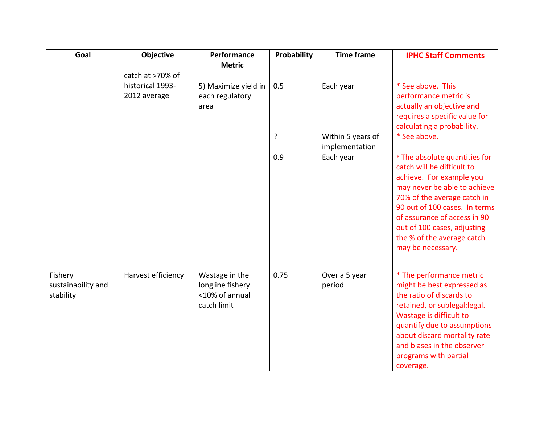| Goal                                       | <b>Objective</b>                 | Performance<br><b>Metric</b>                                        | Probability                         | <b>Time frame</b>       | <b>IPHC Staff Comments</b>                                                                                                                                                                                                                                                                                |
|--------------------------------------------|----------------------------------|---------------------------------------------------------------------|-------------------------------------|-------------------------|-----------------------------------------------------------------------------------------------------------------------------------------------------------------------------------------------------------------------------------------------------------------------------------------------------------|
|                                            | catch at >70% of                 |                                                                     |                                     |                         |                                                                                                                                                                                                                                                                                                           |
|                                            | historical 1993-<br>2012 average | 5) Maximize yield in<br>each regulatory<br>area                     | 0.5                                 | Each year               | * See above. This<br>performance metric is<br>actually an objective and<br>requires a specific value for<br>calculating a probability.                                                                                                                                                                    |
|                                            |                                  | ?                                                                   | Within 5 years of<br>implementation | * See above.            |                                                                                                                                                                                                                                                                                                           |
|                                            |                                  |                                                                     | 0.9                                 | Each year               | * The absolute quantities for<br>catch will be difficult to<br>achieve. For example you<br>may never be able to achieve<br>70% of the average catch in<br>90 out of 100 cases. In terms<br>of assurance of access in 90<br>out of 100 cases, adjusting<br>the % of the average catch<br>may be necessary. |
| Fishery<br>sustainability and<br>stability | Harvest efficiency               | Wastage in the<br>longline fishery<br><10% of annual<br>catch limit | 0.75                                | Over a 5 year<br>period | * The performance metric<br>might be best expressed as<br>the ratio of discards to<br>retained, or sublegal: legal.<br>Wastage is difficult to<br>quantify due to assumptions<br>about discard mortality rate<br>and biases in the observer<br>programs with partial<br>coverage.                         |